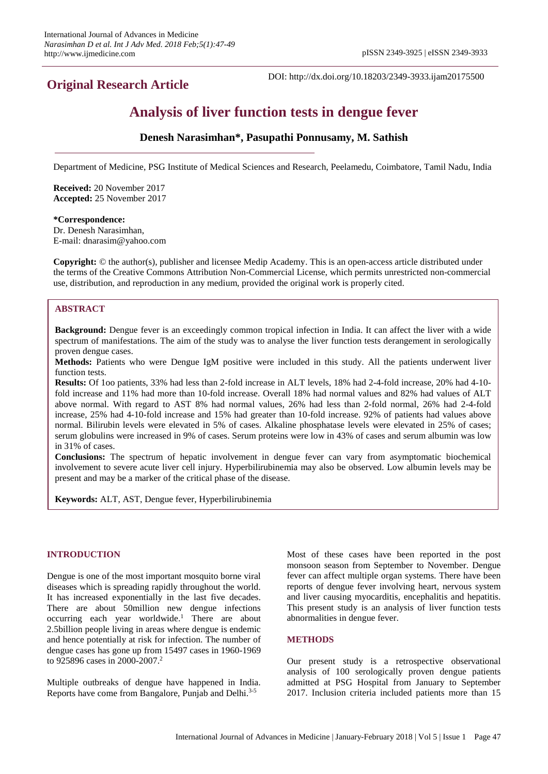## **Original Research Article**

DOI: http://dx.doi.org/10.18203/2349-3933.ijam20175500

# **Analysis of liver function tests in dengue fever**

## **Denesh Narasimhan\*, Pasupathi Ponnusamy, M. Sathish**

Department of Medicine, PSG Institute of Medical Sciences and Research, Peelamedu, Coimbatore, Tamil Nadu, India

**Received:** 20 November 2017 **Accepted:** 25 November 2017

#### **\*Correspondence:** Dr. Denesh Narasimhan,

E-mail: dnarasim@yahoo.com

**Copyright:** © the author(s), publisher and licensee Medip Academy. This is an open-access article distributed under the terms of the Creative Commons Attribution Non-Commercial License, which permits unrestricted non-commercial use, distribution, and reproduction in any medium, provided the original work is properly cited.

## **ABSTRACT**

**Background:** Dengue fever is an exceedingly common tropical infection in India. It can affect the liver with a wide spectrum of manifestations. The aim of the study was to analyse the liver function tests derangement in serologically proven dengue cases.

**Methods:** Patients who were Dengue IgM positive were included in this study. All the patients underwent liver function tests.

**Results:** Of 1oo patients, 33% had less than 2-fold increase in ALT levels, 18% had 2-4-fold increase, 20% had 4-10 fold increase and 11% had more than 10-fold increase. Overall 18% had normal values and 82% had values of ALT above normal. With regard to AST 8% had normal values, 26% had less than 2-fold normal, 26% had 2-4-fold increase, 25% had 4-10-fold increase and 15% had greater than 10-fold increase. 92% of patients had values above normal. Bilirubin levels were elevated in 5% of cases. Alkaline phosphatase levels were elevated in 25% of cases; serum globulins were increased in 9% of cases. Serum proteins were low in 43% of cases and serum albumin was low in 31% of cases.

**Conclusions:** The spectrum of hepatic involvement in dengue fever can vary from asymptomatic biochemical involvement to severe acute liver cell injury. Hyperbilirubinemia may also be observed. Low albumin levels may be present and may be a marker of the critical phase of the disease.

**Keywords:** ALT, AST, Dengue fever, Hyperbilirubinemia

## **INTRODUCTION**

Dengue is one of the most important mosquito borne viral diseases which is spreading rapidly throughout the world. It has increased exponentially in the last five decades. There are about 50million new dengue infections occurring each year worldwide. <sup>1</sup> There are about 2.5billion people living in areas where dengue is endemic and hence potentially at risk for infection. The number of dengue cases has gone up from 15497 cases in 1960-1969 to 925896 cases in 2000-2007. 2

Multiple outbreaks of dengue have happened in India. Reports have come from Bangalore, Punjab and Delhi. 3-5

Most of these cases have been reported in the post monsoon season from September to November. Dengue fever can affect multiple organ systems. There have been reports of dengue fever involving heart, nervous system and liver causing myocarditis, encephalitis and hepatitis. This present study is an analysis of liver function tests abnormalities in dengue fever.

## **METHODS**

Our present study is a retrospective observational analysis of 100 serologically proven dengue patients admitted at PSG Hospital from January to September 2017. Inclusion criteria included patients more than 15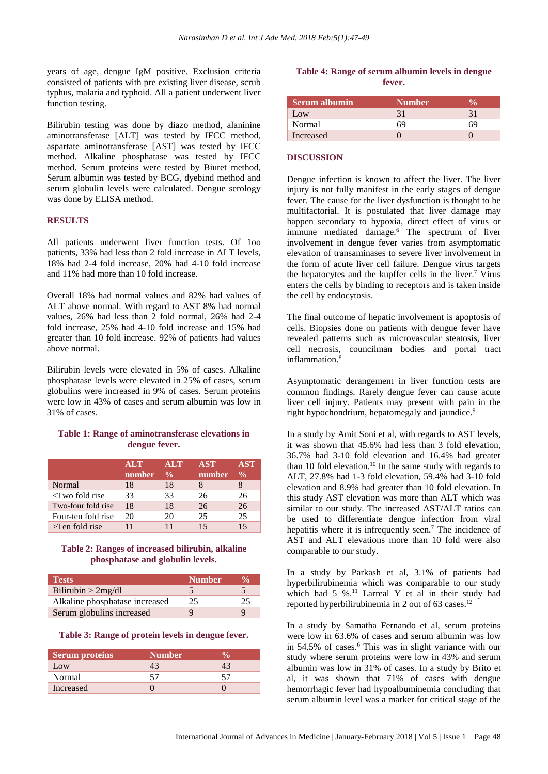years of age, dengue IgM positive. Exclusion criteria consisted of patients with pre existing liver disease, scrub typhus, malaria and typhoid. All a patient underwent liver function testing.

Bilirubin testing was done by diazo method, alaninine aminotransferase [ALT] was tested by IFCC method, aspartate aminotransferase [AST] was tested by IFCC method. Alkaline phosphatase was tested by IFCC method. Serum proteins were tested by Biuret method, Serum albumin was tested by BCG, dyebind method and serum globulin levels were calculated. Dengue serology was done by ELISA method.

#### **RESULTS**

All patients underwent liver function tests. Of 1oo patients, 33% had less than 2 fold increase in ALT levels, 18% had 2-4 fold increase, 20% had 4-10 fold increase and 11% had more than 10 fold increase.

Overall 18% had normal values and 82% had values of ALT above normal. With regard to AST 8% had normal values, 26% had less than 2 fold normal, 26% had 2-4 fold increase, 25% had 4-10 fold increase and 15% had greater than 10 fold increase. 92% of patients had values above normal.

Bilirubin levels were elevated in 5% of cases. Alkaline phosphatase levels were elevated in 25% of cases, serum globulins were increased in 9% of cases. Serum proteins were low in 43% of cases and serum albumin was low in 31% of cases.

## **Table 1: Range of aminotransferase elevations in dengue fever.**

|                         | <b>ALT</b> | <b>ALT</b>         | <b>AST</b> | <b>AST</b>    |
|-------------------------|------------|--------------------|------------|---------------|
|                         | number     | $\frac{0}{\alpha}$ | number     | $\frac{0}{0}$ |
| Normal                  | 18         | 18                 |            |               |
| $\langle$ Two fold rise | 33         | 33                 | 26         | 26            |
| Two-four fold rise      | 18         | 18                 | 26         | 26            |
| Four-ten fold rise      | 20         | 20                 | 25         | 25            |
| $\Gamma$ >Ten fold rise |            |                    | 15         | 15            |

#### **Table 2: Ranges of increased bilirubin, alkaline phosphatase and globulin levels.**

| <b>Tests</b>                   | <b>Number</b> | $\mathcal{V}_{\Omega}$ |
|--------------------------------|---------------|------------------------|
| Bilirubin $>2mg/dl$            |               |                        |
| Alkaline phosphatase increased | 25            | 25                     |
| Serum globulins increased      | Ч             | Q                      |

**Table 3: Range of protein levels in dengue fever.**

| <b>Serum proteins</b> | <b>Number</b> |  |
|-----------------------|---------------|--|
| Low                   |               |  |
| Normal                |               |  |
| Increased             |               |  |

## **Table 4: Range of serum albumin levels in dengue fever.**

| Serum albumin    | <b>Number</b> |  |
|------------------|---------------|--|
| Low              |               |  |
| Normal           | 69            |  |
| <b>Increased</b> |               |  |

#### **DISCUSSION**

Dengue infection is known to affect the liver. The liver injury is not fully manifest in the early stages of dengue fever. The cause for the liver dysfunction is thought to be multifactorial. It is postulated that liver damage may happen secondary to hypoxia, direct effect of virus or immune mediated damage.<sup>6</sup> The spectrum of liver involvement in dengue fever varies from asymptomatic elevation of transaminases to severe liver involvement in the form of acute liver cell failure. Dengue virus targets the hepatocytes and the kupffer cells in the liver. <sup>7</sup> Virus enters the cells by binding to receptors and is taken inside the cell by endocytosis.

The final outcome of hepatic involvement is apoptosis of cells. Biopsies done on patients with dengue fever have revealed patterns such as microvascular steatosis, liver cell necrosis, councilman bodies and portal tract inflammation. 8

Asymptomatic derangement in liver function tests are common findings. Rarely dengue fever can cause acute liver cell injury. Patients may present with pain in the right hypochondrium, hepatomegaly and jaundice.<sup>9</sup>

In a study by Amit Soni et al, with regards to AST levels, it was shown that 45.6% had less than 3 fold elevation, 36.7% had 3-10 fold elevation and 16.4% had greater than 10 fold elevation.<sup>10</sup> In the same study with regards to ALT, 27.8% had 1-3 fold elevation, 59.4% had 3-10 fold elevation and 8.9% had greater than 10 fold elevation. In this study AST elevation was more than ALT which was similar to our study. The increased AST/ALT ratios can be used to differentiate dengue infection from viral hepatitis where it is infrequently seen.<sup>7</sup> The incidence of AST and ALT elevations more than 10 fold were also comparable to our study.

In a study by Parkash et al, 3.1% of patients had hyperbilirubinemia which was comparable to our study which had 5 %.<sup>11</sup> Larreal Y et al in their study had reported hyperbilirubinemia in 2 out of  $63 \text{ cases}$ .<sup>12</sup>

In a study by Samatha Fernando et al, serum proteins were low in 63.6% of cases and serum albumin was low in 54.5% of cases.<sup>6</sup> This was in slight variance with our study where serum proteins were low in 43% and serum albumin was low in 31% of cases. In a study by Brito et al, it was shown that 71% of cases with dengue hemorrhagic fever had hypoalbuminemia concluding that serum albumin level was a marker for critical stage of the